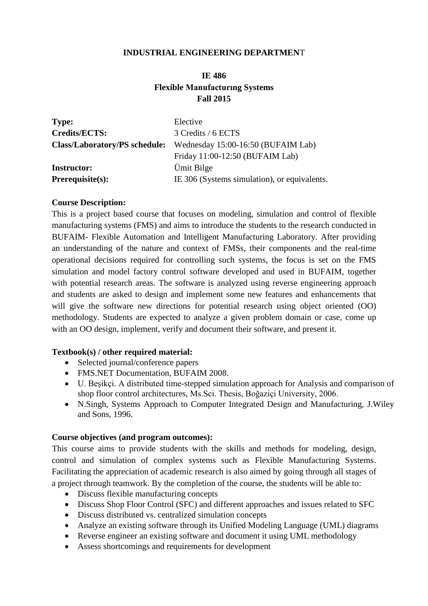### **INDUSTRIAL ENGINEERING DEPARTMEN**T

# **IE 486 Flexible Manufacturıng Systems Fall 2015**

| <b>Type:</b>                         | Elective                                     |
|--------------------------------------|----------------------------------------------|
| Credits/ECTS:                        | 3 Credits / 6 ECTS                           |
| <b>Class/Laboratory/PS schedule:</b> | Wednesday 15:00-16:50 (BUFAIM Lab)           |
|                                      | Friday 11:00-12:50 (BUFAIM Lab)              |
| <b>Instructor:</b>                   | Ümit Bilge                                   |
| $Prerequisite(s):$                   | IE 306 (Systems simulation), or equivalents. |

#### **Course Description:**

This is a project based course that focuses on modeling, simulation and control of flexible manufacturing systems (FMS) and aims to introduce the students to the research conducted in BUFAIM- Flexible Automation and Intelligent Manufacturing Laboratory. After providing an understanding of the nature and context of FMSs, their components and the real-time operational decisions required for controlling such systems, the focus is set on the FMS simulation and model factory control software developed and used in BUFAIM, together with potential research areas. The software is analyzed using reverse engineering approach and students are asked to design and implement some new features and enhancements that will give the software new directions for potential research using object oriented (OO) methodology. Students are expected to analyze a given problem domain or case, come up with an OO design, implement, verify and document their software, and present it.

#### **Textbook(s) / other required material:**

- Selected journal/conference papers
- FMS.NET Documentation, BUFAIM 2008.
- U. Beşikçi. A distributed time-stepped simulation approach for Analysis and comparison of shop floor control architectures, Ms.Sci. Thesis, Boğaziçi University, 2006.
- N.Singh, Systems Approach to Computer Integrated Design and Manufacturing, J.Wiley and Sons, 1996.

#### **Course objectives (and program outcomes):**

This course aims to provide students with the skills and methods for modeling, design, control and simulation of complex systems such as Flexible Manufacturing Systems. Facilitating the appreciation of academic research is also aimed by going through all stages of a project through teamwork. By the completion of the course, the students will be able to:

- Discuss flexible manufacturing concepts
- Discuss Shop Floor Control (SFC) and different approaches and issues related to SFC
- Discuss distributed vs. centralized simulation concepts
- Analyze an existing software through its Unified Modeling Language (UML) diagrams
- Reverse engineer an existing software and document it using UML methodology
- Assess shortcomings and requirements for development